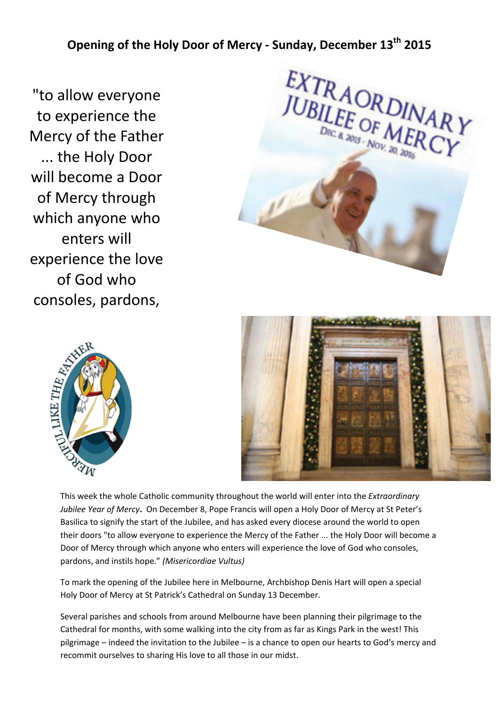**Opening of the Holy Door of Mercy ‐ Sunday, December 13th 2015** 

"to allow everyone to experience the Mercy of the Father ... the Holy Door will become a Door of Mercy through which anyone who enters will experience the love of God who consoles, pardons,







This week the whole Catholic community throughout the world will enter into the *Extraordinary Jubilee Year of Mercy***.**  On December 8, Pope Francis will open a Holy Door of Mercy at St Peter's Basilica to signify the start of the Jubilee, and has asked every diocese around the world to open their doors "to allow everyone to experience the Mercy of the Father ... the Holy Door will become a Door of Mercy through which anyone who enters will experience the love of God who consoles, pardons, and instils hope." *(Misericordiae Vultus)*

To mark the opening of the Jubilee here in Melbourne, Archbishop Denis Hart will open a special Holy Door of Mercy at St Patrick's Cathedral on Sunday 13 December.

Several parishes and schools from around Melbourne have been planning their pilgrimage to the Cathedral for months, with some walking into the city from as far as Kings Park in the west! This pilgrimage – indeed the invitation to the Jubilee – is a chance to open our hearts to God's mercy and recommit ourselves to sharing His love to all those in our midst.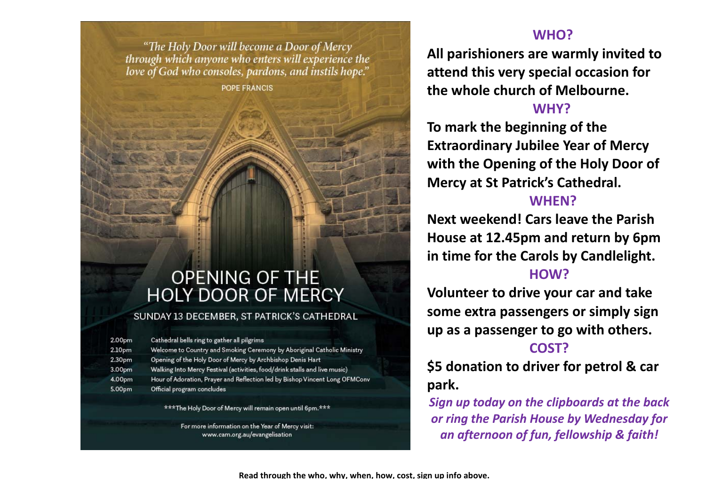"The Holy Door will become a Door of Mercy through which anyone who enters will experience the love of God who consoles, pardons, and instils hope."

**POPE FRANCIS** 

# **OPENING OF THE HOLY DOOR OF MERCY**

#### SUNDAY 13 DECEMBER, ST PATRICK'S CATHEDRAL

| 2.00pm             | Cathedral bells ring to gather all pilgrims                                 |
|--------------------|-----------------------------------------------------------------------------|
| 2.10 <sub>pm</sub> | Welcome to Country and Smoking Ceremony by Aboriginal Catholic Ministry     |
| 2.30 <sub>pm</sub> | Opening of the Holy Door of Mercy by Archbishop Denis Hart                  |
| 3.00pm             | Walking Into Mercy Festival (activities, food/drink stalls and live music)  |
| 4.00pm             | Hour of Adoration, Prayer and Reflection led by Bishop Vincent Long OFMConv |
| 5.00 <sub>pm</sub> | Official program concludes                                                  |

\*\*\*The Holy Door of Mercy will remain open until 6pm.\*\*\*

For more information on the Year of Mercy visit: www.cam.org.au/evangelisation

# **WHO?**

**All parishioners are warmly invited to attend this very special occasion for the whole church of Melbourne.**

### **WHY?**

**To mark the beginning of the Extraordinary Jubilee Year of Mercy with the Opening of the Holy Door of Mercy at St Patrick's Cathedral.**

# **WHEN?**

**Next weekend! Cars leave the Parish House at 12.45pm and return by 6pm in time for the Carols by Candlelight. HOW?**

**Volunteer to drive your car and take some extra passengers or simply sign up as a passenger to go with others.**

# **COST?**

**\$5 donation to driver for petrol & car park.**

*Sign up today on the clipboards at the back or ring the Parish House by Wednesday for an afternoon of fun, fellowship & faith!*